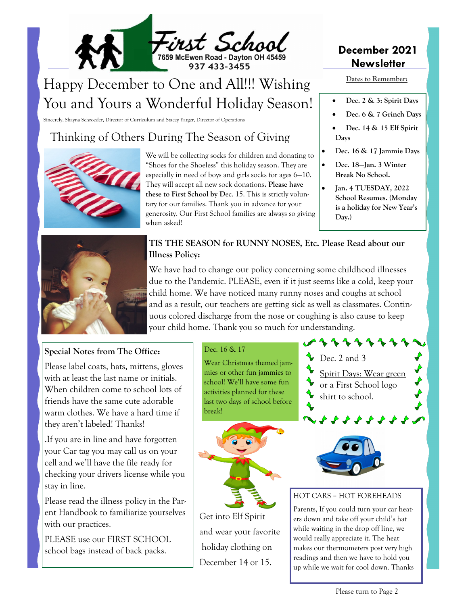

# Happy December to One and All!!! Wishing You and Yours a Wonderful Holiday Season!

Sincerely, Shayna Schroeder, Director of Curriculum and Stacey Yarger, Director of Operations

### Thinking of Others During The Season of Giving



We will be collecting socks for children and donating to "Shoes for the Shoeless" this holiday season. They are especially in need of boys and girls socks for ages 6—10. They will accept all new sock donations**. Please have these to First School by D**ec. 15. This is strictly voluntary for our families. Thank you in advance for your generosity. Our First School families are always so giving when asked!

### **December 2021 Newsletter**

**Dates to Remember:** 

- **Dec. 2 & 3: Spirit Days**
- **Dec. 6 & 7 Grinch Days**
- **Dec. 14 & 15 Elf Spirit Days**
- **Dec. 16 & 17 Jammie Days**
- **Dec. 18—Jan. 3 Winter Break No School.**
- **Jan. 4 TUESDAY, 2022 School Resumes. (Monday is a holiday for New Year's Day.)**



#### **TIS THE SEASON for RUNNY NOSES, Etc. Please Read about our Illness Policy:**

We have had to change our policy concerning some childhood illnesses due to the Pandemic. PLEASE, even if it just seems like a cold, keep your child home. We have noticed many runny noses and coughs at school and as a result, our teachers are getting sick as well as classmates. Continuous colored discharge from the nose or coughing is also cause to keep your child home. Thank you so much for understanding.

#### **Special Notes from The Office:**

Please label coats, hats, mittens, gloves with at least the last name or initials. When children come to school lots of friends have the same cute adorable warm clothes. We have a hard time if they aren't labeled! Thanks!

.If you are in line and have forgotten your Car tag you may call us on your cell and we'll have the file ready for checking your drivers license while you stay in line.

Please read the illness policy in the Parent Handbook to familiarize yourselves with our practices.

PLEASE use our FIRST SCHOOL school bags instead of back packs.

#### Dec. 16 & 17

Wear Christmas themed jammies or other fun jammies to school! We'll have some fun activities planned for these last two days of school before break!



Get into Elf Spirit and wear your favorite holiday clothing on December 14 or 15.





#### HOT CARS = HOT FOREHEADS

Parents, If you could turn your car heaters down and take off your child's hat while waiting in the drop off line, we would really appreciate it. The heat makes our thermometers post very high readings and then we have to hold you up while we wait for cool down. Thanks